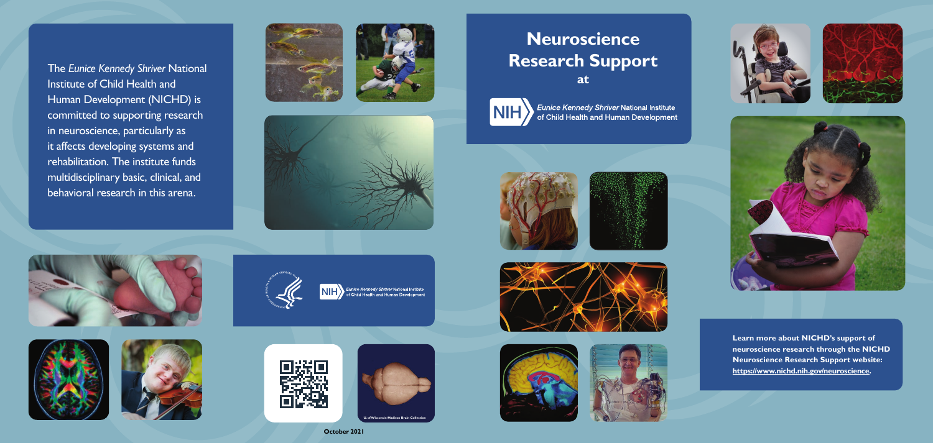

**October 2021**











## **Neuroscience Research Support at**





*Eunice Kennedy Shriver* National Institute<br>of Child Health and Human Development















*Eunice Kennedy Shriver* National Institute<br>of Child Health and Human Development



The *Eunice Kennedy Shriver* National Institute of Child Health and Human Development (NICHD) is committed to supporting research in neuroscience, particularly as it affects developing systems and rehabilitation. The institute funds multidisciplinary basic, clinical, and behavioral research in this arena.







**Learn more about NICHD's support of neuroscience research through the NICHD Neuroscience Research Support website: [https://www.nichd.nih.gov/neuroscience.](https://www.nichd.nih.gov/neuroscience)**